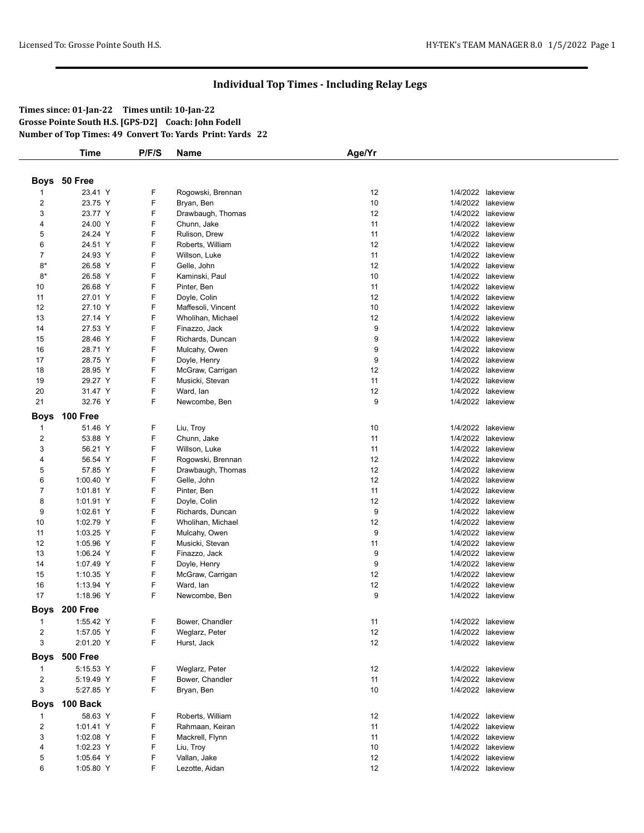## **Individual Top Times - Including Relay Legs**

**Times since: 01-Jan-22 Times until: 10-Jan-22 Grosse Pointe South H.S. [GPS-D2] Coach: John Fodell Number of Top Times: 49 Convert To: Yards Print: Yards 22**

| Boys 50 Free<br>23.41 Y<br>F<br>Rogowski, Brennan<br>12<br>1/4/2022 lakeview<br>1<br>F<br>$\overline{c}$<br>23.75 Y<br>10<br>Bryan, Ben<br>1/4/2022<br>lakeview<br>F<br>12<br>3<br>23.77 Y<br>1/4/2022<br>Drawbaugh, Thomas<br>lakeview<br>F<br>24.00 Y<br>11<br>1/4/2022 lakeview<br>4<br>Chunn, Jake<br>F<br>5<br>11<br>24.24 Y<br>Rulison, Drew<br>1/4/2022 lakeview<br>F<br>12<br>6<br>24.51 Y<br>1/4/2022<br>Roberts, William<br>lakeview<br>F<br>7<br>11<br>24.93 Y<br>Willson, Luke<br>1/4/2022 lakeview<br>F<br>12<br>$8*$<br>1/4/2022<br>26.58 Y<br>Gelle, John<br>lakeview<br>F<br>$8*$<br>26.58 Y<br>10<br>1/4/2022 lakeview<br>Kaminski, Paul<br>F<br>11<br>10<br>26.68 Y<br>Pinter, Ben<br>1/4/2022 lakeview<br>F<br>12<br>11<br>27.01 Y<br>1/4/2022<br>Doyle, Colin<br>lakeview<br>F<br>12<br>10<br>1/4/2022 lakeview<br>27.10 Y<br>Maffesoli, Vincent<br>F<br>12<br>13<br>1/4/2022 lakeview<br>27.14 Y<br>Wholihan, Michael<br>F<br>9<br>14<br>27.53 Y<br>1/4/2022 lakeview<br>Finazzo, Jack<br>F<br>15<br>28.46 Y<br>9<br>1/4/2022 lakeview<br>Richards, Duncan<br>F<br>9<br>16<br>1/4/2022 lakeview<br>28.71 Y<br>Mulcahy, Owen<br>F<br>9<br>17<br>28.75 Y<br>1/4/2022<br>Doyle, Henry<br>lakeview<br>F<br>18<br>12<br>28.95 Y<br>McGraw, Carrigan<br>1/4/2022 lakeview<br>F<br>19<br>29.27 Y<br>11<br>1/4/2022 lakeview<br>Musicki, Stevan<br>F<br>20<br>31.47 Y<br>Ward, lan<br>12<br>1/4/2022 lakeview<br>F<br>21<br>32.76 Y<br>9<br>1/4/2022 lakeview<br>Newcombe, Ben<br>100 Free<br>Boys<br>51.46 Y<br>F<br>10<br>1/4/2022 lakeview<br>Liu, Troy<br>1<br>F<br>2<br>53.88 Y<br>Chunn, Jake<br>11<br>1/4/2022 lakeview<br>3<br>F<br>56.21 Y<br>11<br>Willson, Luke<br>1/4/2022 lakeview<br>F<br>12<br>$\overline{4}$<br>56.54 Y<br>1/4/2022<br>Rogowski, Brennan<br>lakeview<br>F<br>12<br>57.85 Y<br>1/4/2022 lakeview<br>5<br>Drawbaugh, Thomas<br>F<br>12<br>6<br>1/4/2022 lakeview<br>1:00.40 Y<br>Gelle, John<br>F<br>$\overline{7}$<br>11<br>1/4/2022 lakeview<br>1:01.81 Y<br>Pinter, Ben<br>F<br>12<br>8<br>1/4/2022 lakeview<br>1:01.91 Y<br>Doyle, Colin<br>F<br>9<br>9<br>1/4/2022<br>1:02.61 Y<br>Richards, Duncan<br>lakeview<br>F<br>10<br>12<br>1/4/2022 lakeview<br>1:02.79 Y<br>Wholihan, Michael<br>F<br>9<br>1/4/2022 lakeview<br>11<br>1:03.25 Y<br>Mulcahy, Owen<br>F<br>12<br>1:05.96 Y<br>11<br>1/4/2022 lakeview<br>Musicki, Stevan<br>F<br>13<br>1:06.24 Y<br>9<br>1/4/2022 lakeview<br>Finazzo, Jack<br>F<br>9<br>1/4/2022 lakeview<br>14<br>1:07.49 Y<br>Doyle, Henry<br>F<br>12<br>15<br>McGraw, Carrigan<br>1/4/2022 lakeview<br>1:10.35 Y<br>F<br>16<br>12<br>1/4/2022 lakeview<br>1:13.94 Y<br>Ward, lan<br>F<br>9<br>17<br>1:18.96 Y<br>Newcombe, Ben<br>1/4/2022 lakeview<br>Boys 200 Free<br>1:55.42 Y<br>F<br>Bower, Chandler<br>1/4/2022 lakeview<br>11<br>1<br>F<br>12<br>$\overline{c}$<br>1:57.05 Y<br>Weglarz, Peter<br>1/4/2022 lakeview<br>F<br>3<br>12<br>2:01.20 Y<br>Hurst, Jack<br>1/4/2022 lakeview<br><b>500 Free</b><br><b>Boys</b><br>5:15.53 Y<br>F<br>Weglarz, Peter<br>12<br>1/4/2022 lakeview<br>1<br>F<br>$\overline{c}$<br>5:19.49 Y<br>Bower, Chandler<br>11<br>1/4/2022 lakeview<br>3<br>F<br>5:27.85 Y<br>10<br>1/4/2022 lakeview<br>Bryan, Ben<br>100 Back<br><b>Boys</b><br>58.63 Y<br>F<br>Roberts, William<br>12<br>1/4/2022 lakeview<br>1<br>F<br>$\overline{c}$<br>Rahmaan, Keiran<br>11<br>1/4/2022 lakeview<br>1:01.41 Y<br>F<br>3<br>1:02.08 Y<br>Mackrell, Flynn<br>11<br>1/4/2022 lakeview<br>1/4/2022 lakeview |   | <b>Time</b> | P/F/S | Name      | Age/Yr |  |
|------------------------------------------------------------------------------------------------------------------------------------------------------------------------------------------------------------------------------------------------------------------------------------------------------------------------------------------------------------------------------------------------------------------------------------------------------------------------------------------------------------------------------------------------------------------------------------------------------------------------------------------------------------------------------------------------------------------------------------------------------------------------------------------------------------------------------------------------------------------------------------------------------------------------------------------------------------------------------------------------------------------------------------------------------------------------------------------------------------------------------------------------------------------------------------------------------------------------------------------------------------------------------------------------------------------------------------------------------------------------------------------------------------------------------------------------------------------------------------------------------------------------------------------------------------------------------------------------------------------------------------------------------------------------------------------------------------------------------------------------------------------------------------------------------------------------------------------------------------------------------------------------------------------------------------------------------------------------------------------------------------------------------------------------------------------------------------------------------------------------------------------------------------------------------------------------------------------------------------------------------------------------------------------------------------------------------------------------------------------------------------------------------------------------------------------------------------------------------------------------------------------------------------------------------------------------------------------------------------------------------------------------------------------------------------------------------------------------------------------------------------------------------------------------------------------------------------------------------------------------------------------------------------------------------------------------------------------------------------------------------------------------------------------------------------------------------------------------------------------------------------------------------------------------------------------------------------------------------------------------------------------------------------------------------------------------------------------------------------------------------------------------------------------------------------------------------------------------------------------------------------|---|-------------|-------|-----------|--------|--|
|                                                                                                                                                                                                                                                                                                                                                                                                                                                                                                                                                                                                                                                                                                                                                                                                                                                                                                                                                                                                                                                                                                                                                                                                                                                                                                                                                                                                                                                                                                                                                                                                                                                                                                                                                                                                                                                                                                                                                                                                                                                                                                                                                                                                                                                                                                                                                                                                                                                                                                                                                                                                                                                                                                                                                                                                                                                                                                                                                                                                                                                                                                                                                                                                                                                                                                                                                                                                                                                                                                            |   |             |       |           |        |  |
|                                                                                                                                                                                                                                                                                                                                                                                                                                                                                                                                                                                                                                                                                                                                                                                                                                                                                                                                                                                                                                                                                                                                                                                                                                                                                                                                                                                                                                                                                                                                                                                                                                                                                                                                                                                                                                                                                                                                                                                                                                                                                                                                                                                                                                                                                                                                                                                                                                                                                                                                                                                                                                                                                                                                                                                                                                                                                                                                                                                                                                                                                                                                                                                                                                                                                                                                                                                                                                                                                                            |   |             |       |           |        |  |
|                                                                                                                                                                                                                                                                                                                                                                                                                                                                                                                                                                                                                                                                                                                                                                                                                                                                                                                                                                                                                                                                                                                                                                                                                                                                                                                                                                                                                                                                                                                                                                                                                                                                                                                                                                                                                                                                                                                                                                                                                                                                                                                                                                                                                                                                                                                                                                                                                                                                                                                                                                                                                                                                                                                                                                                                                                                                                                                                                                                                                                                                                                                                                                                                                                                                                                                                                                                                                                                                                                            |   |             |       |           |        |  |
|                                                                                                                                                                                                                                                                                                                                                                                                                                                                                                                                                                                                                                                                                                                                                                                                                                                                                                                                                                                                                                                                                                                                                                                                                                                                                                                                                                                                                                                                                                                                                                                                                                                                                                                                                                                                                                                                                                                                                                                                                                                                                                                                                                                                                                                                                                                                                                                                                                                                                                                                                                                                                                                                                                                                                                                                                                                                                                                                                                                                                                                                                                                                                                                                                                                                                                                                                                                                                                                                                                            |   |             |       |           |        |  |
|                                                                                                                                                                                                                                                                                                                                                                                                                                                                                                                                                                                                                                                                                                                                                                                                                                                                                                                                                                                                                                                                                                                                                                                                                                                                                                                                                                                                                                                                                                                                                                                                                                                                                                                                                                                                                                                                                                                                                                                                                                                                                                                                                                                                                                                                                                                                                                                                                                                                                                                                                                                                                                                                                                                                                                                                                                                                                                                                                                                                                                                                                                                                                                                                                                                                                                                                                                                                                                                                                                            |   |             |       |           |        |  |
|                                                                                                                                                                                                                                                                                                                                                                                                                                                                                                                                                                                                                                                                                                                                                                                                                                                                                                                                                                                                                                                                                                                                                                                                                                                                                                                                                                                                                                                                                                                                                                                                                                                                                                                                                                                                                                                                                                                                                                                                                                                                                                                                                                                                                                                                                                                                                                                                                                                                                                                                                                                                                                                                                                                                                                                                                                                                                                                                                                                                                                                                                                                                                                                                                                                                                                                                                                                                                                                                                                            |   |             |       |           |        |  |
|                                                                                                                                                                                                                                                                                                                                                                                                                                                                                                                                                                                                                                                                                                                                                                                                                                                                                                                                                                                                                                                                                                                                                                                                                                                                                                                                                                                                                                                                                                                                                                                                                                                                                                                                                                                                                                                                                                                                                                                                                                                                                                                                                                                                                                                                                                                                                                                                                                                                                                                                                                                                                                                                                                                                                                                                                                                                                                                                                                                                                                                                                                                                                                                                                                                                                                                                                                                                                                                                                                            |   |             |       |           |        |  |
|                                                                                                                                                                                                                                                                                                                                                                                                                                                                                                                                                                                                                                                                                                                                                                                                                                                                                                                                                                                                                                                                                                                                                                                                                                                                                                                                                                                                                                                                                                                                                                                                                                                                                                                                                                                                                                                                                                                                                                                                                                                                                                                                                                                                                                                                                                                                                                                                                                                                                                                                                                                                                                                                                                                                                                                                                                                                                                                                                                                                                                                                                                                                                                                                                                                                                                                                                                                                                                                                                                            |   |             |       |           |        |  |
|                                                                                                                                                                                                                                                                                                                                                                                                                                                                                                                                                                                                                                                                                                                                                                                                                                                                                                                                                                                                                                                                                                                                                                                                                                                                                                                                                                                                                                                                                                                                                                                                                                                                                                                                                                                                                                                                                                                                                                                                                                                                                                                                                                                                                                                                                                                                                                                                                                                                                                                                                                                                                                                                                                                                                                                                                                                                                                                                                                                                                                                                                                                                                                                                                                                                                                                                                                                                                                                                                                            |   |             |       |           |        |  |
|                                                                                                                                                                                                                                                                                                                                                                                                                                                                                                                                                                                                                                                                                                                                                                                                                                                                                                                                                                                                                                                                                                                                                                                                                                                                                                                                                                                                                                                                                                                                                                                                                                                                                                                                                                                                                                                                                                                                                                                                                                                                                                                                                                                                                                                                                                                                                                                                                                                                                                                                                                                                                                                                                                                                                                                                                                                                                                                                                                                                                                                                                                                                                                                                                                                                                                                                                                                                                                                                                                            |   |             |       |           |        |  |
|                                                                                                                                                                                                                                                                                                                                                                                                                                                                                                                                                                                                                                                                                                                                                                                                                                                                                                                                                                                                                                                                                                                                                                                                                                                                                                                                                                                                                                                                                                                                                                                                                                                                                                                                                                                                                                                                                                                                                                                                                                                                                                                                                                                                                                                                                                                                                                                                                                                                                                                                                                                                                                                                                                                                                                                                                                                                                                                                                                                                                                                                                                                                                                                                                                                                                                                                                                                                                                                                                                            |   |             |       |           |        |  |
|                                                                                                                                                                                                                                                                                                                                                                                                                                                                                                                                                                                                                                                                                                                                                                                                                                                                                                                                                                                                                                                                                                                                                                                                                                                                                                                                                                                                                                                                                                                                                                                                                                                                                                                                                                                                                                                                                                                                                                                                                                                                                                                                                                                                                                                                                                                                                                                                                                                                                                                                                                                                                                                                                                                                                                                                                                                                                                                                                                                                                                                                                                                                                                                                                                                                                                                                                                                                                                                                                                            |   |             |       |           |        |  |
|                                                                                                                                                                                                                                                                                                                                                                                                                                                                                                                                                                                                                                                                                                                                                                                                                                                                                                                                                                                                                                                                                                                                                                                                                                                                                                                                                                                                                                                                                                                                                                                                                                                                                                                                                                                                                                                                                                                                                                                                                                                                                                                                                                                                                                                                                                                                                                                                                                                                                                                                                                                                                                                                                                                                                                                                                                                                                                                                                                                                                                                                                                                                                                                                                                                                                                                                                                                                                                                                                                            |   |             |       |           |        |  |
|                                                                                                                                                                                                                                                                                                                                                                                                                                                                                                                                                                                                                                                                                                                                                                                                                                                                                                                                                                                                                                                                                                                                                                                                                                                                                                                                                                                                                                                                                                                                                                                                                                                                                                                                                                                                                                                                                                                                                                                                                                                                                                                                                                                                                                                                                                                                                                                                                                                                                                                                                                                                                                                                                                                                                                                                                                                                                                                                                                                                                                                                                                                                                                                                                                                                                                                                                                                                                                                                                                            |   |             |       |           |        |  |
|                                                                                                                                                                                                                                                                                                                                                                                                                                                                                                                                                                                                                                                                                                                                                                                                                                                                                                                                                                                                                                                                                                                                                                                                                                                                                                                                                                                                                                                                                                                                                                                                                                                                                                                                                                                                                                                                                                                                                                                                                                                                                                                                                                                                                                                                                                                                                                                                                                                                                                                                                                                                                                                                                                                                                                                                                                                                                                                                                                                                                                                                                                                                                                                                                                                                                                                                                                                                                                                                                                            |   |             |       |           |        |  |
|                                                                                                                                                                                                                                                                                                                                                                                                                                                                                                                                                                                                                                                                                                                                                                                                                                                                                                                                                                                                                                                                                                                                                                                                                                                                                                                                                                                                                                                                                                                                                                                                                                                                                                                                                                                                                                                                                                                                                                                                                                                                                                                                                                                                                                                                                                                                                                                                                                                                                                                                                                                                                                                                                                                                                                                                                                                                                                                                                                                                                                                                                                                                                                                                                                                                                                                                                                                                                                                                                                            |   |             |       |           |        |  |
|                                                                                                                                                                                                                                                                                                                                                                                                                                                                                                                                                                                                                                                                                                                                                                                                                                                                                                                                                                                                                                                                                                                                                                                                                                                                                                                                                                                                                                                                                                                                                                                                                                                                                                                                                                                                                                                                                                                                                                                                                                                                                                                                                                                                                                                                                                                                                                                                                                                                                                                                                                                                                                                                                                                                                                                                                                                                                                                                                                                                                                                                                                                                                                                                                                                                                                                                                                                                                                                                                                            |   |             |       |           |        |  |
|                                                                                                                                                                                                                                                                                                                                                                                                                                                                                                                                                                                                                                                                                                                                                                                                                                                                                                                                                                                                                                                                                                                                                                                                                                                                                                                                                                                                                                                                                                                                                                                                                                                                                                                                                                                                                                                                                                                                                                                                                                                                                                                                                                                                                                                                                                                                                                                                                                                                                                                                                                                                                                                                                                                                                                                                                                                                                                                                                                                                                                                                                                                                                                                                                                                                                                                                                                                                                                                                                                            |   |             |       |           |        |  |
|                                                                                                                                                                                                                                                                                                                                                                                                                                                                                                                                                                                                                                                                                                                                                                                                                                                                                                                                                                                                                                                                                                                                                                                                                                                                                                                                                                                                                                                                                                                                                                                                                                                                                                                                                                                                                                                                                                                                                                                                                                                                                                                                                                                                                                                                                                                                                                                                                                                                                                                                                                                                                                                                                                                                                                                                                                                                                                                                                                                                                                                                                                                                                                                                                                                                                                                                                                                                                                                                                                            |   |             |       |           |        |  |
|                                                                                                                                                                                                                                                                                                                                                                                                                                                                                                                                                                                                                                                                                                                                                                                                                                                                                                                                                                                                                                                                                                                                                                                                                                                                                                                                                                                                                                                                                                                                                                                                                                                                                                                                                                                                                                                                                                                                                                                                                                                                                                                                                                                                                                                                                                                                                                                                                                                                                                                                                                                                                                                                                                                                                                                                                                                                                                                                                                                                                                                                                                                                                                                                                                                                                                                                                                                                                                                                                                            |   |             |       |           |        |  |
|                                                                                                                                                                                                                                                                                                                                                                                                                                                                                                                                                                                                                                                                                                                                                                                                                                                                                                                                                                                                                                                                                                                                                                                                                                                                                                                                                                                                                                                                                                                                                                                                                                                                                                                                                                                                                                                                                                                                                                                                                                                                                                                                                                                                                                                                                                                                                                                                                                                                                                                                                                                                                                                                                                                                                                                                                                                                                                                                                                                                                                                                                                                                                                                                                                                                                                                                                                                                                                                                                                            |   |             |       |           |        |  |
|                                                                                                                                                                                                                                                                                                                                                                                                                                                                                                                                                                                                                                                                                                                                                                                                                                                                                                                                                                                                                                                                                                                                                                                                                                                                                                                                                                                                                                                                                                                                                                                                                                                                                                                                                                                                                                                                                                                                                                                                                                                                                                                                                                                                                                                                                                                                                                                                                                                                                                                                                                                                                                                                                                                                                                                                                                                                                                                                                                                                                                                                                                                                                                                                                                                                                                                                                                                                                                                                                                            |   |             |       |           |        |  |
|                                                                                                                                                                                                                                                                                                                                                                                                                                                                                                                                                                                                                                                                                                                                                                                                                                                                                                                                                                                                                                                                                                                                                                                                                                                                                                                                                                                                                                                                                                                                                                                                                                                                                                                                                                                                                                                                                                                                                                                                                                                                                                                                                                                                                                                                                                                                                                                                                                                                                                                                                                                                                                                                                                                                                                                                                                                                                                                                                                                                                                                                                                                                                                                                                                                                                                                                                                                                                                                                                                            |   |             |       |           |        |  |
|                                                                                                                                                                                                                                                                                                                                                                                                                                                                                                                                                                                                                                                                                                                                                                                                                                                                                                                                                                                                                                                                                                                                                                                                                                                                                                                                                                                                                                                                                                                                                                                                                                                                                                                                                                                                                                                                                                                                                                                                                                                                                                                                                                                                                                                                                                                                                                                                                                                                                                                                                                                                                                                                                                                                                                                                                                                                                                                                                                                                                                                                                                                                                                                                                                                                                                                                                                                                                                                                                                            |   |             |       |           |        |  |
|                                                                                                                                                                                                                                                                                                                                                                                                                                                                                                                                                                                                                                                                                                                                                                                                                                                                                                                                                                                                                                                                                                                                                                                                                                                                                                                                                                                                                                                                                                                                                                                                                                                                                                                                                                                                                                                                                                                                                                                                                                                                                                                                                                                                                                                                                                                                                                                                                                                                                                                                                                                                                                                                                                                                                                                                                                                                                                                                                                                                                                                                                                                                                                                                                                                                                                                                                                                                                                                                                                            |   |             |       |           |        |  |
|                                                                                                                                                                                                                                                                                                                                                                                                                                                                                                                                                                                                                                                                                                                                                                                                                                                                                                                                                                                                                                                                                                                                                                                                                                                                                                                                                                                                                                                                                                                                                                                                                                                                                                                                                                                                                                                                                                                                                                                                                                                                                                                                                                                                                                                                                                                                                                                                                                                                                                                                                                                                                                                                                                                                                                                                                                                                                                                                                                                                                                                                                                                                                                                                                                                                                                                                                                                                                                                                                                            |   |             |       |           |        |  |
|                                                                                                                                                                                                                                                                                                                                                                                                                                                                                                                                                                                                                                                                                                                                                                                                                                                                                                                                                                                                                                                                                                                                                                                                                                                                                                                                                                                                                                                                                                                                                                                                                                                                                                                                                                                                                                                                                                                                                                                                                                                                                                                                                                                                                                                                                                                                                                                                                                                                                                                                                                                                                                                                                                                                                                                                                                                                                                                                                                                                                                                                                                                                                                                                                                                                                                                                                                                                                                                                                                            |   |             |       |           |        |  |
|                                                                                                                                                                                                                                                                                                                                                                                                                                                                                                                                                                                                                                                                                                                                                                                                                                                                                                                                                                                                                                                                                                                                                                                                                                                                                                                                                                                                                                                                                                                                                                                                                                                                                                                                                                                                                                                                                                                                                                                                                                                                                                                                                                                                                                                                                                                                                                                                                                                                                                                                                                                                                                                                                                                                                                                                                                                                                                                                                                                                                                                                                                                                                                                                                                                                                                                                                                                                                                                                                                            |   |             |       |           |        |  |
|                                                                                                                                                                                                                                                                                                                                                                                                                                                                                                                                                                                                                                                                                                                                                                                                                                                                                                                                                                                                                                                                                                                                                                                                                                                                                                                                                                                                                                                                                                                                                                                                                                                                                                                                                                                                                                                                                                                                                                                                                                                                                                                                                                                                                                                                                                                                                                                                                                                                                                                                                                                                                                                                                                                                                                                                                                                                                                                                                                                                                                                                                                                                                                                                                                                                                                                                                                                                                                                                                                            |   |             |       |           |        |  |
|                                                                                                                                                                                                                                                                                                                                                                                                                                                                                                                                                                                                                                                                                                                                                                                                                                                                                                                                                                                                                                                                                                                                                                                                                                                                                                                                                                                                                                                                                                                                                                                                                                                                                                                                                                                                                                                                                                                                                                                                                                                                                                                                                                                                                                                                                                                                                                                                                                                                                                                                                                                                                                                                                                                                                                                                                                                                                                                                                                                                                                                                                                                                                                                                                                                                                                                                                                                                                                                                                                            |   |             |       |           |        |  |
|                                                                                                                                                                                                                                                                                                                                                                                                                                                                                                                                                                                                                                                                                                                                                                                                                                                                                                                                                                                                                                                                                                                                                                                                                                                                                                                                                                                                                                                                                                                                                                                                                                                                                                                                                                                                                                                                                                                                                                                                                                                                                                                                                                                                                                                                                                                                                                                                                                                                                                                                                                                                                                                                                                                                                                                                                                                                                                                                                                                                                                                                                                                                                                                                                                                                                                                                                                                                                                                                                                            |   |             |       |           |        |  |
|                                                                                                                                                                                                                                                                                                                                                                                                                                                                                                                                                                                                                                                                                                                                                                                                                                                                                                                                                                                                                                                                                                                                                                                                                                                                                                                                                                                                                                                                                                                                                                                                                                                                                                                                                                                                                                                                                                                                                                                                                                                                                                                                                                                                                                                                                                                                                                                                                                                                                                                                                                                                                                                                                                                                                                                                                                                                                                                                                                                                                                                                                                                                                                                                                                                                                                                                                                                                                                                                                                            |   |             |       |           |        |  |
|                                                                                                                                                                                                                                                                                                                                                                                                                                                                                                                                                                                                                                                                                                                                                                                                                                                                                                                                                                                                                                                                                                                                                                                                                                                                                                                                                                                                                                                                                                                                                                                                                                                                                                                                                                                                                                                                                                                                                                                                                                                                                                                                                                                                                                                                                                                                                                                                                                                                                                                                                                                                                                                                                                                                                                                                                                                                                                                                                                                                                                                                                                                                                                                                                                                                                                                                                                                                                                                                                                            |   |             |       |           |        |  |
|                                                                                                                                                                                                                                                                                                                                                                                                                                                                                                                                                                                                                                                                                                                                                                                                                                                                                                                                                                                                                                                                                                                                                                                                                                                                                                                                                                                                                                                                                                                                                                                                                                                                                                                                                                                                                                                                                                                                                                                                                                                                                                                                                                                                                                                                                                                                                                                                                                                                                                                                                                                                                                                                                                                                                                                                                                                                                                                                                                                                                                                                                                                                                                                                                                                                                                                                                                                                                                                                                                            |   |             |       |           |        |  |
|                                                                                                                                                                                                                                                                                                                                                                                                                                                                                                                                                                                                                                                                                                                                                                                                                                                                                                                                                                                                                                                                                                                                                                                                                                                                                                                                                                                                                                                                                                                                                                                                                                                                                                                                                                                                                                                                                                                                                                                                                                                                                                                                                                                                                                                                                                                                                                                                                                                                                                                                                                                                                                                                                                                                                                                                                                                                                                                                                                                                                                                                                                                                                                                                                                                                                                                                                                                                                                                                                                            |   |             |       |           |        |  |
|                                                                                                                                                                                                                                                                                                                                                                                                                                                                                                                                                                                                                                                                                                                                                                                                                                                                                                                                                                                                                                                                                                                                                                                                                                                                                                                                                                                                                                                                                                                                                                                                                                                                                                                                                                                                                                                                                                                                                                                                                                                                                                                                                                                                                                                                                                                                                                                                                                                                                                                                                                                                                                                                                                                                                                                                                                                                                                                                                                                                                                                                                                                                                                                                                                                                                                                                                                                                                                                                                                            |   |             |       |           |        |  |
|                                                                                                                                                                                                                                                                                                                                                                                                                                                                                                                                                                                                                                                                                                                                                                                                                                                                                                                                                                                                                                                                                                                                                                                                                                                                                                                                                                                                                                                                                                                                                                                                                                                                                                                                                                                                                                                                                                                                                                                                                                                                                                                                                                                                                                                                                                                                                                                                                                                                                                                                                                                                                                                                                                                                                                                                                                                                                                                                                                                                                                                                                                                                                                                                                                                                                                                                                                                                                                                                                                            |   |             |       |           |        |  |
|                                                                                                                                                                                                                                                                                                                                                                                                                                                                                                                                                                                                                                                                                                                                                                                                                                                                                                                                                                                                                                                                                                                                                                                                                                                                                                                                                                                                                                                                                                                                                                                                                                                                                                                                                                                                                                                                                                                                                                                                                                                                                                                                                                                                                                                                                                                                                                                                                                                                                                                                                                                                                                                                                                                                                                                                                                                                                                                                                                                                                                                                                                                                                                                                                                                                                                                                                                                                                                                                                                            |   |             |       |           |        |  |
|                                                                                                                                                                                                                                                                                                                                                                                                                                                                                                                                                                                                                                                                                                                                                                                                                                                                                                                                                                                                                                                                                                                                                                                                                                                                                                                                                                                                                                                                                                                                                                                                                                                                                                                                                                                                                                                                                                                                                                                                                                                                                                                                                                                                                                                                                                                                                                                                                                                                                                                                                                                                                                                                                                                                                                                                                                                                                                                                                                                                                                                                                                                                                                                                                                                                                                                                                                                                                                                                                                            |   |             |       |           |        |  |
|                                                                                                                                                                                                                                                                                                                                                                                                                                                                                                                                                                                                                                                                                                                                                                                                                                                                                                                                                                                                                                                                                                                                                                                                                                                                                                                                                                                                                                                                                                                                                                                                                                                                                                                                                                                                                                                                                                                                                                                                                                                                                                                                                                                                                                                                                                                                                                                                                                                                                                                                                                                                                                                                                                                                                                                                                                                                                                                                                                                                                                                                                                                                                                                                                                                                                                                                                                                                                                                                                                            |   |             |       |           |        |  |
|                                                                                                                                                                                                                                                                                                                                                                                                                                                                                                                                                                                                                                                                                                                                                                                                                                                                                                                                                                                                                                                                                                                                                                                                                                                                                                                                                                                                                                                                                                                                                                                                                                                                                                                                                                                                                                                                                                                                                                                                                                                                                                                                                                                                                                                                                                                                                                                                                                                                                                                                                                                                                                                                                                                                                                                                                                                                                                                                                                                                                                                                                                                                                                                                                                                                                                                                                                                                                                                                                                            |   |             |       |           |        |  |
|                                                                                                                                                                                                                                                                                                                                                                                                                                                                                                                                                                                                                                                                                                                                                                                                                                                                                                                                                                                                                                                                                                                                                                                                                                                                                                                                                                                                                                                                                                                                                                                                                                                                                                                                                                                                                                                                                                                                                                                                                                                                                                                                                                                                                                                                                                                                                                                                                                                                                                                                                                                                                                                                                                                                                                                                                                                                                                                                                                                                                                                                                                                                                                                                                                                                                                                                                                                                                                                                                                            |   |             |       |           |        |  |
|                                                                                                                                                                                                                                                                                                                                                                                                                                                                                                                                                                                                                                                                                                                                                                                                                                                                                                                                                                                                                                                                                                                                                                                                                                                                                                                                                                                                                                                                                                                                                                                                                                                                                                                                                                                                                                                                                                                                                                                                                                                                                                                                                                                                                                                                                                                                                                                                                                                                                                                                                                                                                                                                                                                                                                                                                                                                                                                                                                                                                                                                                                                                                                                                                                                                                                                                                                                                                                                                                                            |   |             |       |           |        |  |
|                                                                                                                                                                                                                                                                                                                                                                                                                                                                                                                                                                                                                                                                                                                                                                                                                                                                                                                                                                                                                                                                                                                                                                                                                                                                                                                                                                                                                                                                                                                                                                                                                                                                                                                                                                                                                                                                                                                                                                                                                                                                                                                                                                                                                                                                                                                                                                                                                                                                                                                                                                                                                                                                                                                                                                                                                                                                                                                                                                                                                                                                                                                                                                                                                                                                                                                                                                                                                                                                                                            |   |             |       |           |        |  |
|                                                                                                                                                                                                                                                                                                                                                                                                                                                                                                                                                                                                                                                                                                                                                                                                                                                                                                                                                                                                                                                                                                                                                                                                                                                                                                                                                                                                                                                                                                                                                                                                                                                                                                                                                                                                                                                                                                                                                                                                                                                                                                                                                                                                                                                                                                                                                                                                                                                                                                                                                                                                                                                                                                                                                                                                                                                                                                                                                                                                                                                                                                                                                                                                                                                                                                                                                                                                                                                                                                            |   |             |       |           |        |  |
|                                                                                                                                                                                                                                                                                                                                                                                                                                                                                                                                                                                                                                                                                                                                                                                                                                                                                                                                                                                                                                                                                                                                                                                                                                                                                                                                                                                                                                                                                                                                                                                                                                                                                                                                                                                                                                                                                                                                                                                                                                                                                                                                                                                                                                                                                                                                                                                                                                                                                                                                                                                                                                                                                                                                                                                                                                                                                                                                                                                                                                                                                                                                                                                                                                                                                                                                                                                                                                                                                                            |   |             |       |           |        |  |
|                                                                                                                                                                                                                                                                                                                                                                                                                                                                                                                                                                                                                                                                                                                                                                                                                                                                                                                                                                                                                                                                                                                                                                                                                                                                                                                                                                                                                                                                                                                                                                                                                                                                                                                                                                                                                                                                                                                                                                                                                                                                                                                                                                                                                                                                                                                                                                                                                                                                                                                                                                                                                                                                                                                                                                                                                                                                                                                                                                                                                                                                                                                                                                                                                                                                                                                                                                                                                                                                                                            |   |             |       |           |        |  |
|                                                                                                                                                                                                                                                                                                                                                                                                                                                                                                                                                                                                                                                                                                                                                                                                                                                                                                                                                                                                                                                                                                                                                                                                                                                                                                                                                                                                                                                                                                                                                                                                                                                                                                                                                                                                                                                                                                                                                                                                                                                                                                                                                                                                                                                                                                                                                                                                                                                                                                                                                                                                                                                                                                                                                                                                                                                                                                                                                                                                                                                                                                                                                                                                                                                                                                                                                                                                                                                                                                            |   |             |       |           |        |  |
|                                                                                                                                                                                                                                                                                                                                                                                                                                                                                                                                                                                                                                                                                                                                                                                                                                                                                                                                                                                                                                                                                                                                                                                                                                                                                                                                                                                                                                                                                                                                                                                                                                                                                                                                                                                                                                                                                                                                                                                                                                                                                                                                                                                                                                                                                                                                                                                                                                                                                                                                                                                                                                                                                                                                                                                                                                                                                                                                                                                                                                                                                                                                                                                                                                                                                                                                                                                                                                                                                                            |   |             |       |           |        |  |
|                                                                                                                                                                                                                                                                                                                                                                                                                                                                                                                                                                                                                                                                                                                                                                                                                                                                                                                                                                                                                                                                                                                                                                                                                                                                                                                                                                                                                                                                                                                                                                                                                                                                                                                                                                                                                                                                                                                                                                                                                                                                                                                                                                                                                                                                                                                                                                                                                                                                                                                                                                                                                                                                                                                                                                                                                                                                                                                                                                                                                                                                                                                                                                                                                                                                                                                                                                                                                                                                                                            |   |             |       |           |        |  |
|                                                                                                                                                                                                                                                                                                                                                                                                                                                                                                                                                                                                                                                                                                                                                                                                                                                                                                                                                                                                                                                                                                                                                                                                                                                                                                                                                                                                                                                                                                                                                                                                                                                                                                                                                                                                                                                                                                                                                                                                                                                                                                                                                                                                                                                                                                                                                                                                                                                                                                                                                                                                                                                                                                                                                                                                                                                                                                                                                                                                                                                                                                                                                                                                                                                                                                                                                                                                                                                                                                            |   |             |       |           |        |  |
|                                                                                                                                                                                                                                                                                                                                                                                                                                                                                                                                                                                                                                                                                                                                                                                                                                                                                                                                                                                                                                                                                                                                                                                                                                                                                                                                                                                                                                                                                                                                                                                                                                                                                                                                                                                                                                                                                                                                                                                                                                                                                                                                                                                                                                                                                                                                                                                                                                                                                                                                                                                                                                                                                                                                                                                                                                                                                                                                                                                                                                                                                                                                                                                                                                                                                                                                                                                                                                                                                                            |   |             |       |           |        |  |
|                                                                                                                                                                                                                                                                                                                                                                                                                                                                                                                                                                                                                                                                                                                                                                                                                                                                                                                                                                                                                                                                                                                                                                                                                                                                                                                                                                                                                                                                                                                                                                                                                                                                                                                                                                                                                                                                                                                                                                                                                                                                                                                                                                                                                                                                                                                                                                                                                                                                                                                                                                                                                                                                                                                                                                                                                                                                                                                                                                                                                                                                                                                                                                                                                                                                                                                                                                                                                                                                                                            | 4 | 1:02.23 Y   | F     | Liu, Troy | 10     |  |
| F<br>12<br>5<br>1/4/2022 lakeview<br>1:05.64 Y<br>Vallan, Jake                                                                                                                                                                                                                                                                                                                                                                                                                                                                                                                                                                                                                                                                                                                                                                                                                                                                                                                                                                                                                                                                                                                                                                                                                                                                                                                                                                                                                                                                                                                                                                                                                                                                                                                                                                                                                                                                                                                                                                                                                                                                                                                                                                                                                                                                                                                                                                                                                                                                                                                                                                                                                                                                                                                                                                                                                                                                                                                                                                                                                                                                                                                                                                                                                                                                                                                                                                                                                                             |   |             |       |           |        |  |
| F<br>6<br>12<br>1/4/2022 lakeview<br>1:05.80 Y<br>Lezotte, Aidan                                                                                                                                                                                                                                                                                                                                                                                                                                                                                                                                                                                                                                                                                                                                                                                                                                                                                                                                                                                                                                                                                                                                                                                                                                                                                                                                                                                                                                                                                                                                                                                                                                                                                                                                                                                                                                                                                                                                                                                                                                                                                                                                                                                                                                                                                                                                                                                                                                                                                                                                                                                                                                                                                                                                                                                                                                                                                                                                                                                                                                                                                                                                                                                                                                                                                                                                                                                                                                           |   |             |       |           |        |  |